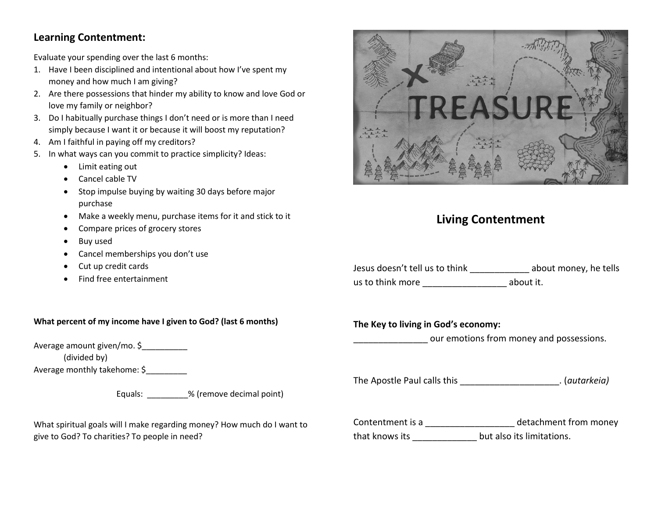## **Learning Contentment:**

Evaluate your spending over the last 6 months:

- 1. Have I been disciplined and intentional about how I've spent my money and how much I am giving?
- 2. Are there possessions that hinder my ability to know and love God or love my family or neighbor?
- 3. Do I habitually purchase things I don't need or is more than I need simply because I want it or because it will boost my reputation?
- 4. Am I faithful in paying off my creditors?
- 5. In what ways can you commit to practice simplicity? Ideas:
	- Limit eating out
	- Cancel cable TV
	- Stop impulse buying by waiting 30 days before major purchase
	- Make a weekly menu, purchase items for it and stick to it
	- Compare prices of grocery stores
	- Buy used
	- Cancel memberships you don't use
	- Cut up credit cards
	- Find free entertainment

### **What percent of my income have I given to God? (last 6 months)**

Average amount given/mo. \$

(divided by)

Average monthly takehome: \$

Equals: \_\_\_\_\_\_\_\_\_% (remove decimal point)

What spiritual goals will I make regarding money? How much do I want to give to God? To charities? To people in need?



# **Living Contentment**

| Jesus doesn't tell us to think | about money, he tells |
|--------------------------------|-----------------------|
| us to think more               | about it.             |

**The Key to living in God's economy:**

our emotions from money and possessions.

The Apostle Paul calls this \_\_\_\_\_\_\_\_\_\_\_\_\_\_\_\_\_\_\_\_. (*autarkeia)*

Contentment is a \_\_\_\_\_\_\_\_\_\_\_\_\_\_\_\_\_\_ detachment from money that knows its \_\_\_\_\_\_\_\_\_\_\_\_\_ but also its limitations.